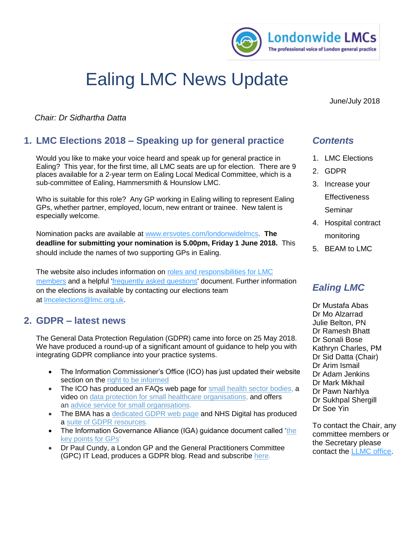

# Ealing LMC News Update

June/July 2018

*Chair: Dr Sidhartha Datta*

# **1. LMC Elections 2018 – Speaking up for general practice**

Would you like to make your voice heard and speak up for general practice in Ealing? This year, for the first time, all LMC seats are up for election. There are 9 places available for a 2-year term on Ealing Local Medical Committee, which is a sub-committee of Ealing, Hammersmith & Hounslow LMC.

Who is suitable for this role? Any GP working in Ealing willing to represent Ealing GPs, whether partner, employed, locum, new entrant or trainee. New talent is especially welcome.

Nomination packs are available at [www.ersvotes.com/londonwidelmcs.](http://www.ersvotes.com/londonwidelmcs) **The deadline for submitting your nomination is 5.00pm, Friday 1 June 2018.** This should include the names of two supporting GPs in Ealing.

The website also includes information on roles and responsibilities for LMC [members](https://secure.ersvotes.com/V2-4-3/(S(455bae69-9a3e-4c6c-8f43-135e875fcebbAMICgEAAAAAAAA=KoytWW778p2oxBSgW6R))/Resources/Attachments/k0346_1/roles_and_responsibilities.pdf) and a helpful ['frequently asked questions'](https://secure.ersvotes.com/V2-4-3/(S(455bae69-9a3e-4c6c-8f43-135e875fcebbAMICgEAAAAAAAA=KoytWW778p2oxBSgW6R))/Resources/Attachments/k0346_1/faqs_lmc_elections.pdf) document. Further information on the elections is available by contacting our elections team at [lmcelections@lmc.org.uk.](mailto:lmcelections@lmc.org.uk?subject=LMC%20elections%202018%20website%20enquiry)

#### **2. GDPR – latest news**

The General Data Protection Regulation (GDPR) came into force on 25 May 2018. We have produced a round-up of a significant amount of guidance to help you with integrating GDPR compliance into your practice systems.

- The Information Commissioner's Office (ICO) has just updated their website section on the right to be [informed](https://ico.org.uk/for-organisations/guide-to-the-general-data-protection-regulation-gdpr/individual-rights/right-to-be-informed/)
- The ICO has produced an FAQs web page for small health sector [bodies,](https://ico.org.uk/for-organisations/health/health-gdpr-faqs/) a video on data protection for small healthcare [organisations,](https://www.youtube.com/watch?v=uEuFGzXVY8s) and offers an advice service for small [organisations.](https://ico.org.uk/global/contact-us/advice-service-for-small-organisations/)
- The BMA has a [dedicated](https://www.bma.org.uk/advice/employment/ethics/confidentiality-and-health-records/gps-as-data-controllers) GDPR web page and NHS Digital has produced a suite of GDPR [resources.](https://digital.nhs.uk/data-and-information/looking-after-information/data-security-and-information-governance/information-governance-alliance-iga/general-data-protection-regulation-gdpr-guidance)
- The Information Governance Alliance (IGA) guidance document called ['the](https://www.lmc.org.uk/visageimages/files/Londonwide/2018/IGAGDPRGP0318.pdf) key [points](https://www.lmc.org.uk/visageimages/files/Londonwide/2018/IGAGDPRGP0318.pdf) for GPs'
- Dr Paul Cundy, a London GP and the General Practitioners Committee (GPC) IT Lead, produces a GDPR blog. Read and subscribe [here.](https://www.bma.org.uk/connecting-doctors/the_practice/b/weblog/posts/gdpr-for-gps-from-the-it-lead-for-gpc)

## *Contents*

- 1. LMC Elections
- 2. GDPR
- 3. Increase your **Effectiveness** Seminar
- 4. Hospital contract monitoring
- 5. BEAM to LMC

# *Ealing LMC*

Dr Mustafa Abas Dr Mo Alzarrad Julie Belton, PN Dr Ramesh Bhatt Dr Sonali Bose Kathryn Charles, PM Dr Sid Datta (Chair) Dr Arim Ismail Dr Adam Jenkins Dr Mark Mikhail Dr Pawn Narhlya Dr Sukhpal Shergill Dr Soe Yin

To contact the Chair, any committee members or the Secretary please contact the [LLMC office.](mailto:esther.bennett@lmc.org.uk)